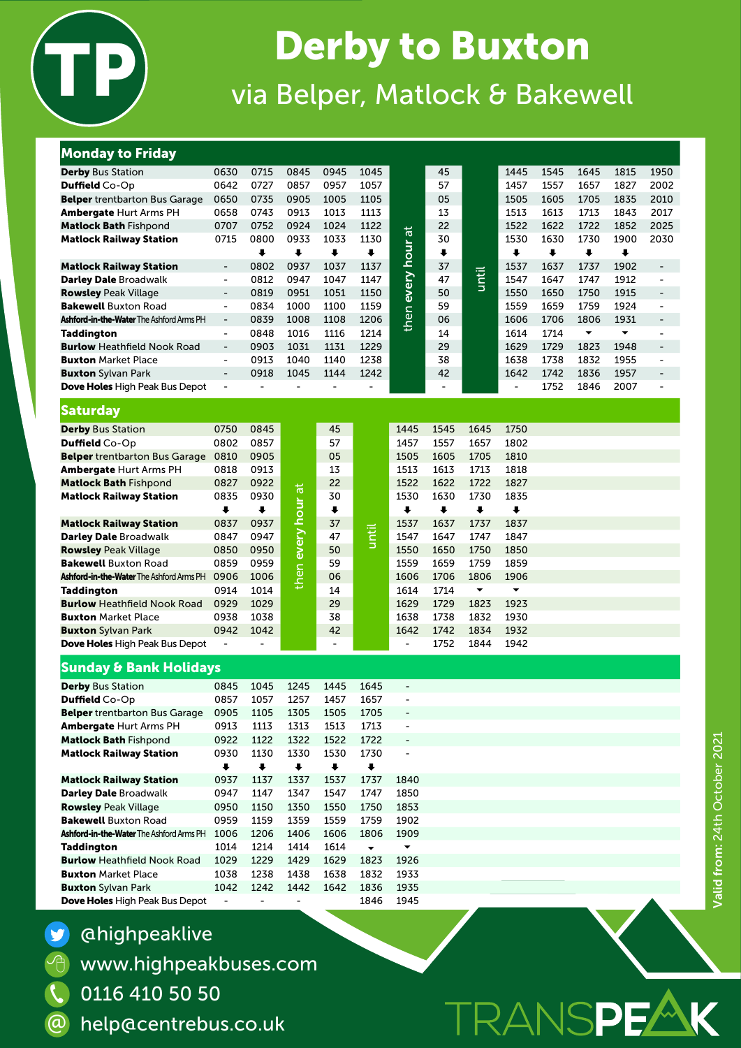

# **Derby to Buxton** via Belper, Matlock & Bakewell

## Monday to Friday

| <b>Derby Bus Station</b>                 | 0630                         | 0715 | 0845                 | 0945                 | 1045                 |                      | 45                   |                      | 1445                 | 1545                 | 1645                 | 1815                 | 1950                         |
|------------------------------------------|------------------------------|------|----------------------|----------------------|----------------------|----------------------|----------------------|----------------------|----------------------|----------------------|----------------------|----------------------|------------------------------|
| Duffield Co-Op                           | 0642                         | 0727 | 0857                 | 0957                 | 1057                 |                      | 57                   |                      | 1457                 | 1557                 | 1657                 | 1827                 | 2002                         |
| <b>Belper</b> trentbarton Bus Garage     | 0650                         | 0735 | 0905                 | 1005                 | 1105                 |                      | 05                   |                      | 1505                 | 1605                 | 1705                 | 1835                 | 2010                         |
| <b>Ambergate Hurt Arms PH</b>            | 0658                         | 0743 | 0913                 | 1013                 | 1113                 |                      | 13                   |                      | 1513                 | 1613                 | 1713                 | 1843                 | 2017                         |
| <b>Matlock Bath Fishpond</b>             | 0707                         | 0752 | 0924                 | 1024                 | 1122                 | $\overline{a}$       | 22                   |                      | 1522                 | 1622                 | 1722                 | 1852                 | 2025                         |
| <b>Matlock Railway Station</b>           | 0715                         | 0800 | 0933                 | 1033                 | 1130                 |                      | 30                   |                      | 1530                 | 1630                 | 1730                 | 1900                 | 2030                         |
|                                          |                              | ∔    | $\ddot{\phantom{1}}$ | $\ddot{\phantom{1}}$ | $\ddot{\phantom{0}}$ | hour                 | ⋅                    |                      | $\ddot{\phantom{1}}$ | $\ddot{\phantom{1}}$ | $\ddot{\phantom{1}}$ | $\ddot{\phantom{0}}$ |                              |
| <b>Matlock Railway Station</b>           | $\overline{\phantom{a}}$     | 0802 | 0937                 | 1037                 | 1137                 |                      | 37                   |                      | 1537                 | 1637                 | 1737                 | 1902                 | -                            |
| <b>Darley Dale Broadwalk</b>             | $\blacksquare$               | 0812 | 0947                 | 1047                 | 1147                 |                      | 47                   | until                | 1547                 | 1647                 | 1747                 | 1912                 | $\blacksquare$               |
| <b>Rowsley Peak Village</b>              | $\overline{\phantom{a}}$     | 0819 | 0951                 | 1051                 | 1150                 | every<br>then        | 50                   |                      | 1550                 | 1650                 | 1750                 | 1915                 | -                            |
| <b>Bakewell Buxton Road</b>              | $\blacksquare$               | 0834 | 1000                 | 1100                 | 1159                 |                      | 59                   |                      | 1559                 | 1659                 | 1759                 | 1924                 | $\blacksquare$               |
| Ashford-in-the-Water The Ashford Arms PH | $\blacksquare$               | 0839 | 1008                 | 1108                 | 1206                 |                      | 06                   |                      | 1606                 | 1706                 | 1806                 | 1931                 | $\qquad \qquad \blacksquare$ |
| <b>Taddington</b>                        | $\overline{\phantom{a}}$     | 0848 | 1016                 | 1116                 | 1214                 |                      | 14                   |                      | 1614                 | 1714                 | $\blacktriangledown$ | $\blacktriangledown$ | $\qquad \qquad \blacksquare$ |
| <b>Burlow Heathfield Nook Road</b>       | $\overline{\phantom{a}}$     | 0903 | 1031                 | 1131                 | 1229                 |                      | 29                   |                      | 1629                 | 1729                 | 1823                 | 1948                 | $\qquad \qquad \blacksquare$ |
| <b>Buxton Market Place</b>               | $\blacksquare$               | 0913 | 1040                 | 1140                 | 1238                 |                      | 38                   |                      | 1638                 | 1738                 | 1832                 | 1955                 | $\blacksquare$               |
| <b>Buxton</b> Sylvan Park                | $\qquad \qquad \blacksquare$ | 0918 | 1045                 | 1144                 | 1242                 |                      | 42                   |                      | 1642                 | 1742                 | 1836                 | 1957                 | $\qquad \qquad \blacksquare$ |
| Dove Holes High Peak Bus Depot           | $\blacksquare$               |      |                      |                      |                      |                      |                      |                      |                      | 1752                 | 1846                 | 2007                 | $\blacksquare$               |
| <b>Saturday</b>                          |                              |      |                      |                      |                      |                      |                      |                      |                      |                      |                      |                      |                              |
| <b>Derby Bus Station</b>                 | 0750                         | 0845 |                      | 45                   |                      | 1445                 | 1545                 | 1645                 | 1750                 |                      |                      |                      |                              |
| Duffield Co-Op                           | 0802                         | 0857 |                      | 57                   |                      | 1457                 | 1557                 | 1657                 | 1802                 |                      |                      |                      |                              |
| <b>Belper</b> trentbarton Bus Garage     | 0810                         | 0905 |                      | 05                   |                      | 1505                 | 1605                 | 1705                 | 1810                 |                      |                      |                      |                              |
| <b>Ambergate Hurt Arms PH</b>            | 0818                         | 0913 |                      | 13                   |                      | 1513                 | 1613                 | 1713                 | 1818                 |                      |                      |                      |                              |
| <b>Matlock Bath Fishpond</b>             | 0827                         | 0922 |                      | 22                   |                      | 1522                 | 1622                 | 1722                 | 1827                 |                      |                      |                      |                              |
| <b>Matlock Railway Station</b>           | 0835                         | 0930 |                      | 30                   |                      | 1530                 | 1630                 | 1730                 | 1835                 |                      |                      |                      |                              |
|                                          | $\ddot{\phantom{1}}$         | ₩    | hour a               | $\ddot{\phantom{1}}$ |                      | $\ddot{\phantom{1}}$ | $\ddot{\phantom{1}}$ | $\ddot{\phantom{1}}$ | $\ddot{\phantom{1}}$ |                      |                      |                      |                              |
| <b>Matlock Railway Station</b>           | 0837                         | 0937 |                      | 37                   |                      | 1537                 | 1637                 | 1737                 | 1837                 |                      |                      |                      |                              |
| <b>Darley Dale Broadwalk</b>             | 0847                         | 0947 | every                | 47                   | <u>until</u>         | 1547                 | 1647                 | 1747                 | 1847                 |                      |                      |                      |                              |
| <b>Rowsley Peak Village</b>              | 0850                         | 0950 |                      | 50                   |                      | 1550                 | 1650                 | 1750                 | 1850                 |                      |                      |                      |                              |
| <b>Bakewell Buxton Road</b>              | 0859                         | 0959 |                      | 59                   |                      | 1559                 | 1659                 | 1759                 | 1859                 |                      |                      |                      |                              |
| Ashford-in-the-Water The Ashford Arms PH | 0906                         | 1006 | then                 | 06                   |                      | 1606                 | 1706                 | 1806                 | 1906                 |                      |                      |                      |                              |
| <b>Taddington</b>                        | 0914                         | 1014 |                      | 14                   |                      | 1614                 | 1714                 | $\blacktriangledown$ | $\blacktriangledown$ |                      |                      |                      |                              |
| <b>Burlow Heathfield Nook Road</b>       | 0929                         | 1029 |                      | 29                   |                      | 1629                 | 1729                 | 1823                 | 1923                 |                      |                      |                      |                              |
| <b>Buxton Market Place</b>               | 0938                         | 1038 |                      | 38                   |                      | 1638                 | 1738                 | 1832                 | 1930                 |                      |                      |                      |                              |
| <b>Buxton</b> Sylvan Park                | 0942                         | 1042 |                      | 42                   |                      | 1642                 | 1742                 | 1834                 | 1932                 |                      |                      |                      |                              |
| Dove Holes High Peak Bus Depot           |                              |      |                      |                      |                      | $\blacksquare$       | 1752                 | 1844                 | 1942                 |                      |                      |                      |                              |
| Cunday & Dank Halidaya                   |                              |      |                      |                      |                      |                      |                      |                      |                      |                      |                      |                      |                              |

#### Sunday & Bank Holidays

| <b>Derby</b> Bus Station                        | 0845 | 1045 | 1245 | 1445 | 1645                     |                              |
|-------------------------------------------------|------|------|------|------|--------------------------|------------------------------|
| <b>Duffield</b> Co-Op                           | 0857 | 1057 | 1257 | 1457 | 1657                     |                              |
| <b>Belper</b> trentbarton Bus Garage            | 0905 | 1105 | 1305 | 1505 | 1705                     | $\blacksquare$               |
| <b>Ambergate Hurt Arms PH</b>                   | 0913 | 1113 | 1313 | 1513 | 1713                     |                              |
| <b>Matlock Bath Fishpond</b>                    | 0922 | 1122 | 1322 | 1522 | 1722                     | $\qquad \qquad \blacksquare$ |
| <b>Matlock Railway Station</b>                  | 0930 | 1130 | 1330 | 1530 | 1730                     |                              |
|                                                 | ı    | ⋅    | ₩    | ₩    | ⋅                        |                              |
| <b>Matlock Railway Station</b>                  | 0937 | 1137 | 1337 | 1537 | 1737                     | 1840                         |
| <b>Darley Dale Broadwalk</b>                    | 0947 | 1147 | 1347 | 1547 | 1747                     | 1850                         |
| <b>Rowsley Peak Village</b>                     | 0950 | 1150 | 1350 | 1550 | 1750                     | 1853                         |
| <b>Bakewell Buxton Road</b>                     | 0959 | 1159 | 1359 | 1559 | 1759                     | 1902                         |
| <b>Ashford-in-the-Water</b> The Ashford Arms PH | 1006 | 1206 | 1406 | 1606 | 1806                     | 1909                         |
| <b>Taddington</b>                               | 1014 | 1214 | 1414 | 1614 | $\overline{\phantom{a}}$ | ▼                            |
| <b>Burlow Heathfield Nook Road</b>              | 1029 | 1229 | 1429 | 1629 | 1823                     | 1926                         |
| <b>Buxton</b> Market Place                      | 1038 | 1238 | 1438 | 1638 | 1832                     | 1933                         |
| <b>Buxton</b> Sylvan Park                       | 1042 | 1242 | 1442 | 1642 | 1836                     | 1935                         |
| Dove Holes High Peak Bus Depot                  |      |      |      |      | 1846                     | 1945                         |

@highpeaklive

www.highpeakbuses.com

0116 410 50 50

 $\overline{\mathcal{C}}$ 

@

 $\overline{\Theta}$ 

 $\bullet$ 

help@centrebus.co.uk

TRANSPEZ